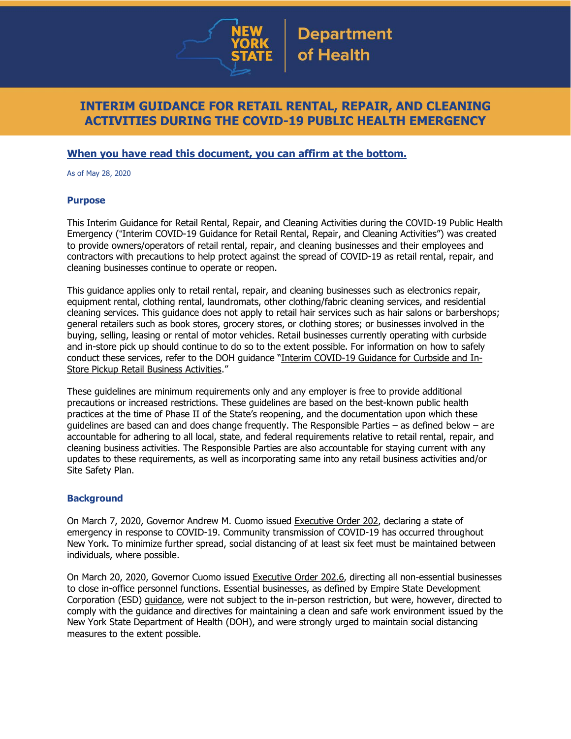

## **INTERIM GUIDANCE FOR RETAIL RENTAL, REPAIR, AND CLEANING ACTIVITIES DURING THE COVID-19 PUBLIC HEALTH EMERGENCY**

## **When you have read this document, you can affirm at the bottom.**

As of May 28, 2020

#### **Purpose**

This Interim Guidance for Retail Rental, Repair, and Cleaning Activities during the COVID-19 Public Health Emergency ("Interim COVID-19 Guidance for Retail Rental, Repair, and Cleaning Activities") was created to provide owners/operators of retail rental, repair, and cleaning businesses and their employees and contractors with precautions to help protect against the spread of COVID-19 as retail rental, repair, and cleaning businesses continue to operate or reopen.

This guidance applies only to retail rental, repair, and cleaning businesses such as electronics repair, equipment rental, clothing rental, laundromats, other clothing/fabric cleaning services, and residential cleaning services. This guidance does not apply to retail hair services such as hair salons or barbershops; general retailers such as book stores, grocery stores, or clothing stores; or businesses involved in the buying, selling, leasing or rental of motor vehicles. Retail businesses currently operating with curbside and in-store pick up should continue to do so to the extent possible. For information on how to safely conduct these services, refer to the DOH guidance "Interim [COVID-19](https://www.governor.ny.gov/sites/governor.ny.gov/files/atoms/files/CurbsideInStoreRetailMasterGuidance.pdf) Guidance for Curbside and In-Store Pickup Retail Business [Activities](https://www.governor.ny.gov/sites/governor.ny.gov/files/atoms/files/CurbsideInStoreRetailMasterGuidance.pdf)."

These guidelines are minimum requirements only and any employer is free to provide additional precautions or increased restrictions. These guidelines are based on the best-known public health practices at the time of Phase II of the State's reopening, and the documentation upon which these guidelines are based can and does change frequently. The Responsible Parties – as defined below – are accountable for adhering to all local, state, and federal requirements relative to retail rental, repair, and cleaning business activities. The Responsible Parties are also accountable for staying current with any updates to these requirements, as well as incorporating same into any retail business activities and/or Site Safety Plan.

### **Background**

On March 7, 2020, Governor Andrew M. Cuomo issued [Executive](https://www.governor.ny.gov/news/no-202-declaring-disaster-emergency-state-new-york) Order 202, declaring a state of emergency in response to COVID-19. Community transmission of COVID-19 has occurred throughout New York. To minimize further spread, social distancing of at least six feet must be maintained between individuals, where possible.

On March 20, 2020, Governor Cuomo issued [Executive](https://www.governor.ny.gov/news/no-2026-continuing-temporary-suspension-and-modification-laws-relating-disaster-emergency) Order 202.6, directing all non-essential businesses to close in-office personnel functions. Essential businesses, as defined by Empire State Development Corporation (ESD) [guidance,](https://esd.ny.gov/guidance-executive-order-2026) were not subject to the in-person restriction, but were, however, directed to comply with the guidance and directives for maintaining a clean and safe work environment issued by the New York State Department of Health (DOH), and were strongly urged to maintain social distancing measures to the extent possible.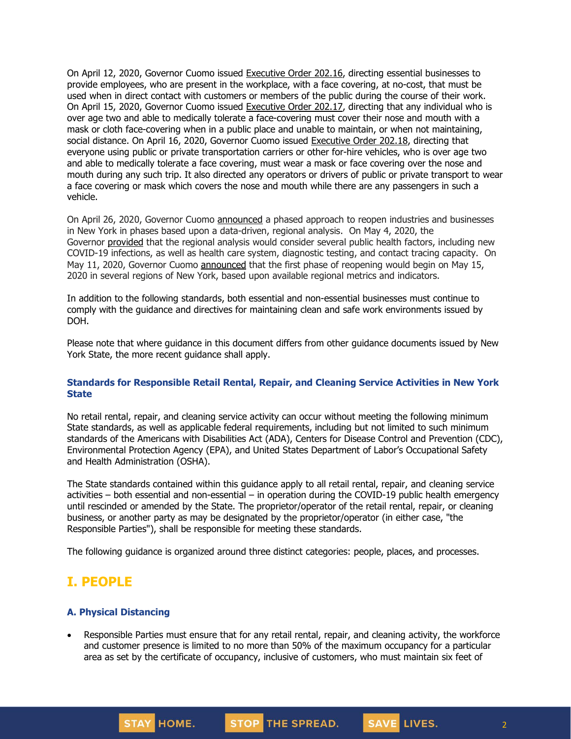On April 12, 2020, Governor Cuomo issued [Executive](https://www.governor.ny.gov/news/no-20216-continuing-temporary-suspension-and-modification-laws-relating-disaster-emergency) Order 202.16, directing essential businesses to provide employees, who are present in the workplace, with a face covering, at no-cost, that must be used when in direct contact with customers or members of the public during the course of their work. On April 15, 2020, Governor Cuomo issued [Executive](https://www.governor.ny.gov/news/no-20217-continuing-temporary-suspension-and-modification-laws-relating-disaster-emergency) Order 202.17, directing that any individual who is over age two and able to medically tolerate a face-covering must cover their nose and mouth with a mask or cloth face-covering when in a public place and unable to maintain, or when not maintaining, social distance. On April 16, 2020, Governor Cuomo issued [Executive](https://www.governor.ny.gov/news/no-20218-continuing-temporary-suspension-and-modification-laws-relating-disaster-emergency) Order 202.18, directing that everyone using public or private transportation carriers or other for-hire vehicles, who is over age two and able to medically tolerate a face covering, must wear a mask or face covering over the nose and mouth during any such trip. It also directed any operators or drivers of public or private transport to wear a face covering or mask which covers the nose and mouth while there are any passengers in such a vehicle.

On April 26, 2020, Governor Cuomo [announced](https://www.governor.ny.gov/news/amid-ongoing-covid-19-pandemic-governor-cuomo-outlines-phased-plan-re-open-new-york-starting) a phased approach to reopen industries and businesses in New York in phases based upon a data-driven, regional analysis. On May 4, 2020, the Governor [provided](https://www.governor.ny.gov/news/amid-ongoing-covid-19-pandemic-governor-cuomo-outlines-additional-guidelines-when-regions-can) that the regional analysis would consider several public health factors, including new COVID-19 infections, as well as health care system, diagnostic testing, and contact tracing capacity. On May 11, 2020, Governor Cuomo [announced](https://www.governor.ny.gov/news/amid-ongoing-covid-19-pandemic-governor-cuomo-announces-three-regions-new-york-state-ready) that the first phase of reopening would begin on May 15, 2020 in several regions of New York, based upon available regional metrics and indicators.

In addition to the following standards, both essential and non-essential businesses must continue to comply with the guidance and directives for maintaining clean and safe work environments issued by DOH.

Please note that where guidance in this document differs from other guidance documents issued by New York State, the more recent guidance shall apply.

#### **Standards for Responsible Retail Rental, Repair, and Cleaning Service Activities in New York State**

No retail rental, repair, and cleaning service activity can occur without meeting the following minimum State standards, as well as applicable federal requirements, including but not limited to such minimum standards of the Americans with Disabilities Act (ADA), Centers for Disease Control and Prevention (CDC), Environmental Protection Agency (EPA), and United States Department of Labor's Occupational Safety and Health Administration (OSHA).

The State standards contained within this guidance apply to all retail rental, repair, and cleaning service activities – both essential and non-essential – in operation during the COVID-19 public health emergency until rescinded or amended by the State. The proprietor/operator of the retail rental, repair, or cleaning business, or another party as may be designated by the proprietor/operator (in either case, "the Responsible Parties"), shall be responsible for meeting these standards.

The following guidance is organized around three distinct categories: people, places, and processes.

## **I. PEOPLE**

### **A. Physical Distancing**

• Responsible Parties must ensure that for any retail rental, repair, and cleaning activity, the workforce and customer presence is limited to no more than 50% of the maximum occupancy for a particular area as set by the certificate of occupancy, inclusive of customers, who must maintain six feet of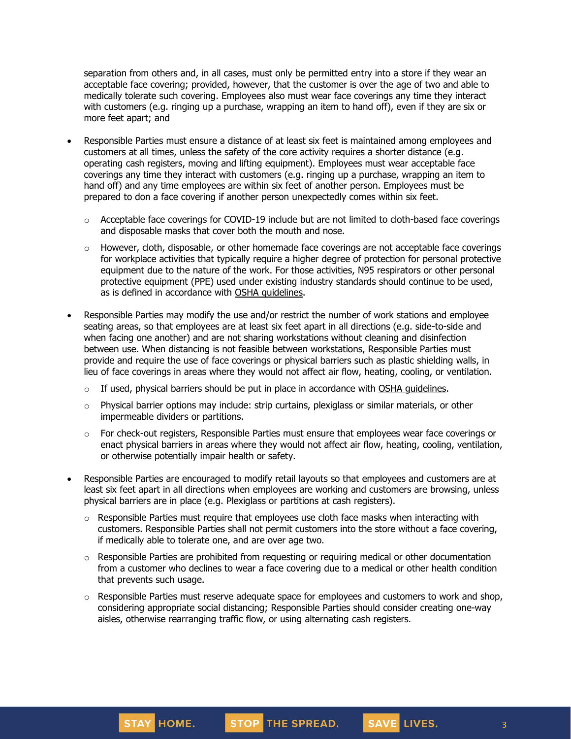separation from others and, in all cases, must only be permitted entry into a store if they wear an acceptable face covering; provided, however, that the customer is over the age of two and able to medically tolerate such covering. Employees also must wear face coverings any time they interact with customers (e.g. ringing up a purchase, wrapping an item to hand off), even if they are six or more feet apart; and

- Responsible Parties must ensure a distance of at least six feet is maintained among employees and customers at all times, unless the safety of the core activity requires a shorter distance (e.g. operating cash registers, moving and lifting equipment). Employees must wear acceptable face coverings any time they interact with customers (e.g. ringing up a purchase, wrapping an item to hand off) and any time employees are within six feet of another person. Employees must be prepared to don a face covering if another person unexpectedly comes within six feet.
	- $\circ$  Acceptable face coverings for COVID-19 include but are not limited to cloth-based face coverings and disposable masks that cover both the mouth and nose.
	- $\circ$  However, cloth, disposable, or other homemade face coverings are not acceptable face coverings for workplace activities that typically require a higher degree of protection for personal protective equipment due to the nature of the work. For those activities, N95 respirators or other personal protective equipment (PPE) used under existing industry standards should continue to be used, as is defined in accordance with OSHA [guidelines.](https://www.osha.gov/SLTC/personalprotectiveequipment/)
- Responsible Parties may modify the use and/or restrict the number of work stations and employee seating areas, so that employees are at least six feet apart in all directions (e.g. side-to-side and when facing one another) and are not sharing workstations without cleaning and disinfection between use. When distancing is not feasible between workstations, Responsible Parties must provide and require the use of face coverings or physical barriers such as plastic shielding walls, in lieu of face coverings in areas where they would not affect air flow, heating, cooling, or ventilation.
	- $\circ$  If used, physical barriers should be put in place in accordance with OSHA [guidelines.](https://www.osha.gov/Publications/OSHA3990.pdf)
	- o Physical barrier options may include: strip curtains, plexiglass or similar materials, or other impermeable dividers or partitions.
	- $\circ$  For check-out registers, Responsible Parties must ensure that employees wear face coverings or enact physical barriers in areas where they would not affect air flow, heating, cooling, ventilation, or otherwise potentially impair health or safety.
- Responsible Parties are encouraged to modify retail layouts so that employees and customers are at least six feet apart in all directions when employees are working and customers are browsing, unless physical barriers are in place (e.g. Plexiglass or partitions at cash registers).
	- $\circ$  Responsible Parties must require that employees use cloth face masks when interacting with customers. Responsible Parties shall not permit customers into the store without a face covering, if medically able to tolerate one, and are over age two.
	- $\circ$  Responsible Parties are prohibited from requesting or requiring medical or other documentation from a customer who declines to wear a face covering due to a medical or other health condition that prevents such usage.
	- $\circ$  Responsible Parties must reserve adequate space for employees and customers to work and shop, considering appropriate social distancing; Responsible Parties should consider creating one-way aisles, otherwise rearranging traffic flow, or using alternating cash registers.

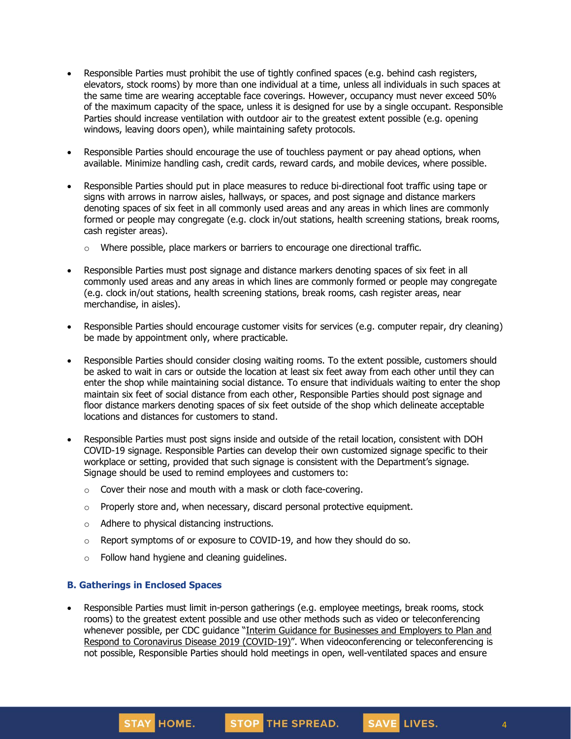- Responsible Parties must prohibit the use of tightly confined spaces (e.g. behind cash registers, elevators, stock rooms) by more than one individual at a time, unless all individuals in such spaces at the same time are wearing acceptable face coverings. However, occupancy must never exceed 50% of the maximum capacity of the space, unless it is designed for use by a single occupant. Responsible Parties should increase ventilation with outdoor air to the greatest extent possible (e.g. opening windows, leaving doors open), while maintaining safety protocols.
- Responsible Parties should encourage the use of touchless payment or pay ahead options, when available. Minimize handling cash, credit cards, reward cards, and mobile devices, where possible.
- Responsible Parties should put in place measures to reduce bi-directional foot traffic using tape or signs with arrows in narrow aisles, hallways, or spaces, and post signage and distance markers denoting spaces of six feet in all commonly used areas and any areas in which lines are commonly formed or people may congregate (e.g. clock in/out stations, health screening stations, break rooms, cash register areas).
	- $\circ$  Where possible, place markers or barriers to encourage one directional traffic.
- Responsible Parties must post signage and distance markers denoting spaces of six feet in all commonly used areas and any areas in which lines are commonly formed or people may congregate (e.g. clock in/out stations, health screening stations, break rooms, cash register areas, near merchandise, in aisles).
- Responsible Parties should encourage customer visits for services (e.g. computer repair, dry cleaning) be made by appointment only, where practicable.
- Responsible Parties should consider closing waiting rooms. To the extent possible, customers should be asked to wait in cars or outside the location at least six feet away from each other until they can enter the shop while maintaining social distance. To ensure that individuals waiting to enter the shop maintain six feet of social distance from each other, Responsible Parties should post signage and floor distance markers denoting spaces of six feet outside of the shop which delineate acceptable locations and distances for customers to stand.
- Responsible Parties must post signs inside and outside of the retail location, consistent with DOH COVID-19 signage. Responsible Parties can develop their own customized signage specific to their workplace or setting, provided that such signage is consistent with the Department's signage. Signage should be used to remind employees and customers to:
	- $\circ$  Cover their nose and mouth with a mask or cloth face-covering.
	- $\circ$  Properly store and, when necessary, discard personal protective equipment.
	- o Adhere to physical distancing instructions.
	- o Report symptoms of or exposure to COVID-19, and how they should do so.
	- $\circ$  Follow hand hygiene and cleaning quidelines.

#### **B. Gatherings in Enclosed Spaces**

STAY HOME.

• Responsible Parties must limit in-person gatherings (e.g. employee meetings, break rooms, stock rooms) to the greatest extent possible and use other methods such as video or teleconferencing whenever possible, per CDC guidance "Interim Guidance for [Businesses](https://www.cdc.gov/coronavirus/2019-ncov/community/guidance-business-response.html) and Employers to Plan and Respond to [Coronavirus](https://www.cdc.gov/coronavirus/2019-ncov/community/guidance-business-response.html) Disease 2019 (COVID-19)". When videoconferencing or teleconferencing is not possible, Responsible Parties should hold meetings in open, well-ventilated spaces and ensure

STOP THE SPREAD.

4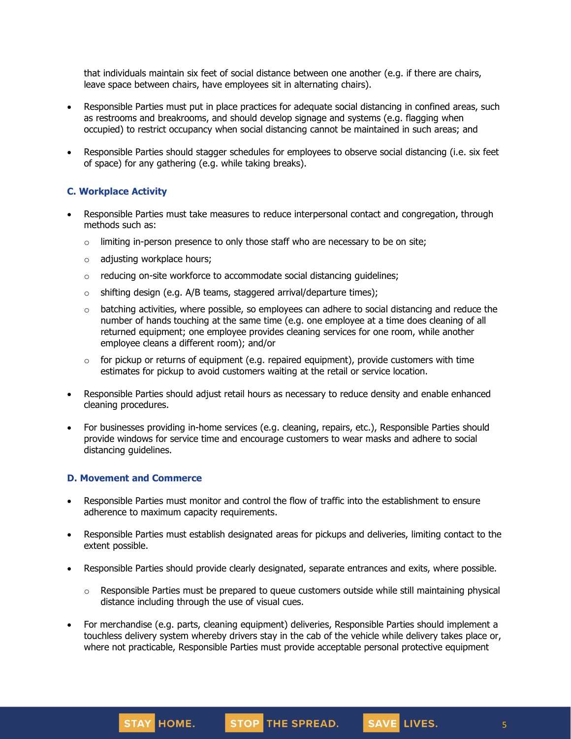that individuals maintain six feet of social distance between one another (e.g. if there are chairs, leave space between chairs, have employees sit in alternating chairs).

- Responsible Parties must put in place practices for adequate social distancing in confined areas, such as restrooms and breakrooms, and should develop signage and systems (e.g. flagging when occupied) to restrict occupancy when social distancing cannot be maintained in such areas; and
- Responsible Parties should stagger schedules for employees to observe social distancing (i.e. six feet of space) for any gathering (e.g. while taking breaks).

### **C. Workplace Activity**

- Responsible Parties must take measures to reduce interpersonal contact and congregation, through methods such as:
	- $\circ$  limiting in-person presence to only those staff who are necessary to be on site;
	- o adjusting workplace hours;
	- o reducing on-site workforce to accommodate social distancing guidelines;
	- $\circ$  shifting design (e.g. A/B teams, staggered arrival/departure times);
	- $\circ$  batching activities, where possible, so employees can adhere to social distancing and reduce the number of hands touching at the same time (e.g. one employee at a time does cleaning of all returned equipment; one employee provides cleaning services for one room, while another employee cleans a different room); and/or
	- $\circ$  for pickup or returns of equipment (e.g. repaired equipment), provide customers with time estimates for pickup to avoid customers waiting at the retail or service location.
- Responsible Parties should adjust retail hours as necessary to reduce density and enable enhanced cleaning procedures.
- For businesses providing in-home services (e.g. cleaning, repairs, etc.), Responsible Parties should provide windows for service time and encourage customers to wear masks and adhere to social distancing guidelines.

#### **D. Movement and Commerce**

- Responsible Parties must monitor and control the flow of traffic into the establishment to ensure adherence to maximum capacity requirements.
- Responsible Parties must establish designated areas for pickups and deliveries, limiting contact to the extent possible.
- Responsible Parties should provide clearly designated, separate entrances and exits, where possible.
	- $\circ$  Responsible Parties must be prepared to queue customers outside while still maintaining physical distance including through the use of visual cues.
- For merchandise (e.g. parts, cleaning equipment) deliveries, Responsible Parties should implement a touchless delivery system whereby drivers stay in the cab of the vehicle while delivery takes place or, where not practicable, Responsible Parties must provide acceptable personal protective equipment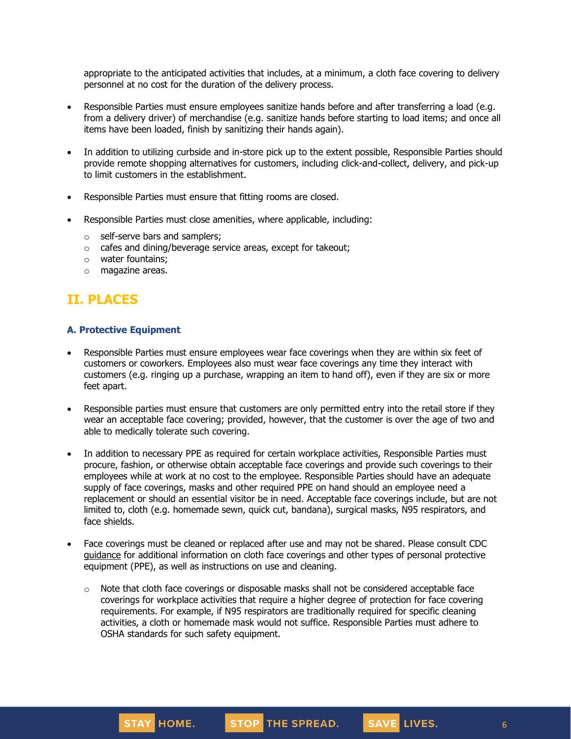appropriate to the anticipated activities that includes, at a minimum, a cloth face covering to delivery personnel at no cost for the duration of the delivery process.

- Responsible Parties must ensure employees sanitize hands before and after transferring a load (e.g. from a delivery driver) of merchandise (e.g. sanitize hands before starting to load items; and once all items have been loaded, finish by sanitizing their hands again).
- In addition to utilizing curbside and in-store pick up to the extent possible, Responsible Parties should provide remote shopping alternatives for customers, including click-and-collect, delivery, and pick-up to limit customers in the establishment.
- Responsible Parties must ensure that fitting rooms are closed.
- Responsible Parties must close amenities, where applicable, including:
	- o self-serve bars and samplers;
	- o cafes and dining/beverage service areas, except for takeout;
	- o water fountains;
	- o magazine areas.

# **II. PLACES**

#### **A. Protective Equipment**

- Responsible Parties must ensure employees wear face coverings when they are within six feet of customers or coworkers. Employees also must wear face coverings any time they interact with customers (e.g. ringing up a purchase, wrapping an item to hand off), even if they are six or more feet apart.
- Responsible parties must ensure that customers are only permitted entry into the retail store if they wear an acceptable face covering; provided, however, that the customer is over the age of two and able to medically tolerate such covering.
- In addition to necessary PPE as required for certain workplace activities, Responsible Parties must procure, fashion, or otherwise obtain acceptable face coverings and provide such coverings to their employees while at work at no cost to the employee. Responsible Parties should have an adequate supply of face coverings, masks and other required PPE on hand should an employee need a replacement or should an essential visitor be in need. Acceptable face coverings include, but are not limited to, cloth (e.g. homemade sewn, quick cut, bandana), surgical masks, N95 respirators, and face shields.
- Face coverings must be cleaned or replaced after use and may not be shared. Please consult CDC [guidance](https://www.cdc.gov/coronavirus/2019-ncov/community/guidance-business-response.html) for additional information on cloth face coverings and other types of personal protective equipment (PPE), as well as instructions on use and cleaning.
	- $\circ$  Note that cloth face coverings or disposable masks shall not be considered acceptable face coverings for workplace activities that require a higher degree of protection for face covering requirements. For example, if N95 respirators are traditionally required for specific cleaning activities, a cloth or homemade mask would not suffice. Responsible Parties must adhere to OSHA standards for such safety equipment.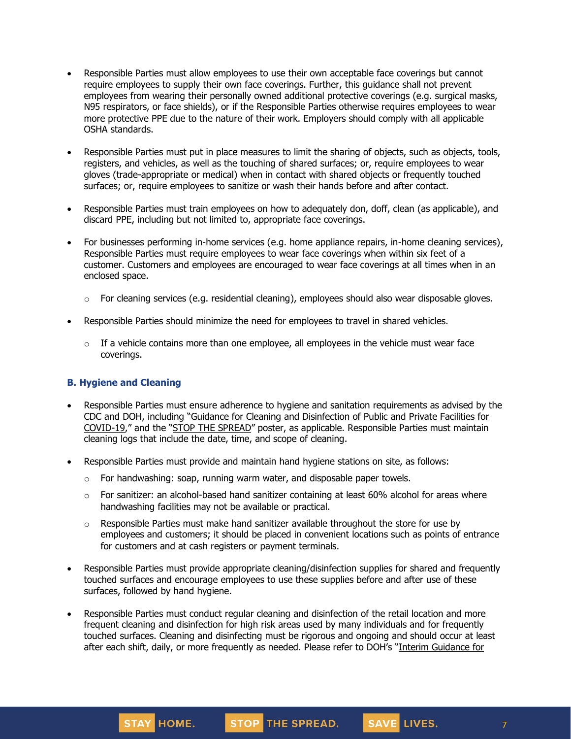- Responsible Parties must allow employees to use their own acceptable face coverings but cannot require employees to supply their own face coverings. Further, this guidance shall not prevent employees from wearing their personally owned additional protective coverings (e.g. surgical masks, N95 respirators, or face shields), or if the Responsible Parties otherwise requires employees to wear more protective PPE due to the nature of their work. Employers should comply with all applicable OSHA standards.
- Responsible Parties must put in place measures to limit the sharing of objects, such as objects, tools, registers, and vehicles, as well as the touching of shared surfaces; or, require employees to wear gloves (trade-appropriate or medical) when in contact with shared objects or frequently touched surfaces; or, require employees to sanitize or wash their hands before and after contact.
- Responsible Parties must train employees on how to adequately don, doff, clean (as applicable), and discard PPE, including but not limited to, appropriate face coverings.
- For businesses performing in-home services (e.g. home appliance repairs, in-home cleaning services), Responsible Parties must require employees to wear face coverings when within six feet of a customer. Customers and employees are encouraged to wear face coverings at all times when in an enclosed space.
	- $\circ$  For cleaning services (e.g. residential cleaning), employees should also wear disposable gloves.
- Responsible Parties should minimize the need for employees to travel in shared vehicles.
	- o If a vehicle contains more than one employee, all employees in the vehicle must wear face coverings.

### **B. Hygiene and Cleaning**

- Responsible Parties must ensure adherence to hygiene and sanitation requirements as advised by the CDC and DOH, including "Guidance for Cleaning and [Disinfection](https://coronavirus.health.ny.gov/system/files/documents/2020/03/cleaning_guidance_general_building.pdf) of Public and Private Facilities for [COVID-19](https://coronavirus.health.ny.gov/system/files/documents/2020/03/cleaning_guidance_general_building.pdf)," and the "STOP THE [SPREAD](https://coronavirus.health.ny.gov/system/files/documents/2020/04/13067_coronavirus_protectyourself_poster_042020.pdf)" poster, as applicable. Responsible Parties must maintain cleaning logs that include the date, time, and scope of cleaning.
- Responsible Parties must provide and maintain hand hygiene stations on site, as follows:
	- $\circ$  For handwashing: soap, running warm water, and disposable paper towels.
	- $\circ$  For sanitizer: an alcohol-based hand sanitizer containing at least 60% alcohol for areas where handwashing facilities may not be available or practical.
	- $\circ$  Responsible Parties must make hand sanitizer available throughout the store for use by employees and customers; it should be placed in convenient locations such as points of entrance for customers and at cash registers or payment terminals.
- Responsible Parties must provide appropriate cleaning/disinfection supplies for shared and frequently touched surfaces and encourage employees to use these supplies before and after use of these surfaces, followed by hand hygiene.
- Responsible Parties must conduct regular cleaning and disinfection of the retail location and more frequent cleaning and disinfection for high risk areas used by many individuals and for frequently touched surfaces. Cleaning and disinfecting must be rigorous and ongoing and should occur at least after each shift, daily, or more frequently as needed. Please refer to DOH's "Interim [Guidance](https://coronavirus.health.ny.gov/system/files/documents/2020/03/cleaning_guidance_general_building.pdf) for

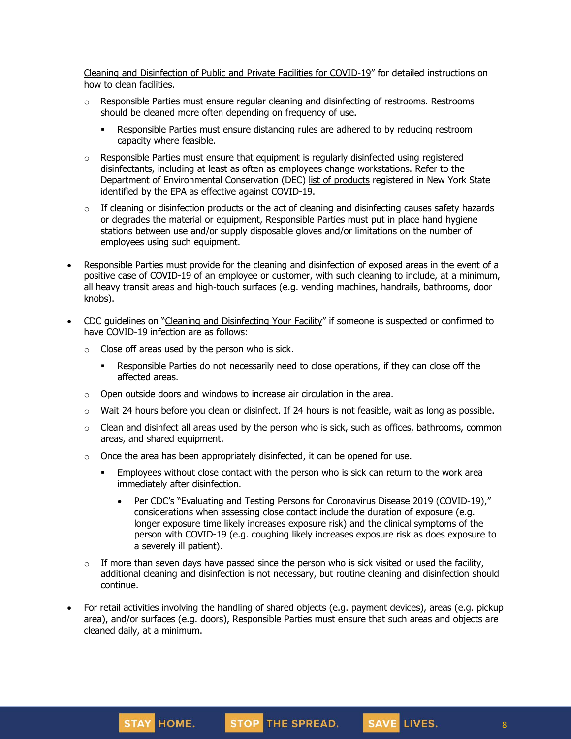Cleaning and [Disinfection](https://coronavirus.health.ny.gov/system/files/documents/2020/03/cleaning_guidance_general_building.pdf) of Public and Private Facilities for COVID-19" for detailed instructions on how to clean facilities.

- $\circ$  Responsible Parties must ensure regular cleaning and disinfecting of restrooms. Restrooms should be cleaned more often depending on frequency of use.
	- **•** Responsible Parties must ensure distancing rules are adhered to by reducing restroom capacity where feasible.
- $\circ$  Responsible Parties must ensure that equipment is regularly disinfected using registered disinfectants, including at least as often as employees change workstations. Refer to the Department of Environmental Conservation (DEC) list of [products](http://www.dec.ny.gov/docs/materials_minerals_pdf/covid19.pdf) registered in New York State identified by the EPA as effective against COVID-19.
- $\circ$  If cleaning or disinfection products or the act of cleaning and disinfecting causes safety hazards or degrades the material or equipment, Responsible Parties must put in place hand hygiene stations between use and/or supply disposable gloves and/or limitations on the number of employees using such equipment.
- Responsible Parties must provide for the cleaning and disinfection of exposed areas in the event of a positive case of COVID-19 of an employee or customer, with such cleaning to include, at a minimum, all heavy transit areas and high-touch surfaces (e.g. vending machines, handrails, bathrooms, door knobs).
- CDC guidelines on "Cleaning and [Disinfecting](https://www.cdc.gov/coronavirus/2019-ncov/community/disinfecting-building-facility.html) Your Facility" if someone is suspected or confirmed to have COVID-19 infection are as follows:
	- $\circ$  Close off areas used by the person who is sick.
		- **•** Responsible Parties do not necessarily need to close operations, if they can close off the affected areas.
	- o Open outside doors and windows to increase air circulation in the area.
	- $\circ$  Wait 24 hours before you clean or disinfect. If 24 hours is not feasible, wait as long as possible.
	- $\circ$  Clean and disinfect all areas used by the person who is sick, such as offices, bathrooms, common areas, and shared equipment.
	- $\circ$  Once the area has been appropriately disinfected, it can be opened for use.
		- **Employees without close contact with the person who is sick can return to the work area** immediately after disinfection.
			- Per CDC's "Evaluating and Testing Persons for [Coronavirus](https://www.cdc.gov/coronavirus/2019-ncov/hcp/clinical-criteria.html) Disease 2019 (COVID-19)," considerations when assessing close contact include the duration of exposure (e.g. longer exposure time likely increases exposure risk) and the clinical symptoms of the person with COVID-19 (e.g. coughing likely increases exposure risk as does exposure to a severely ill patient).
	- $\circ$  If more than seven days have passed since the person who is sick visited or used the facility, additional cleaning and disinfection is not necessary, but routine cleaning and disinfection should continue.
- For retail activities involving the handling of shared objects (e.g. payment devices), areas (e.g. pickup area), and/or surfaces (e.g. doors), Responsible Parties must ensure that such areas and objects are cleaned daily, at a minimum.

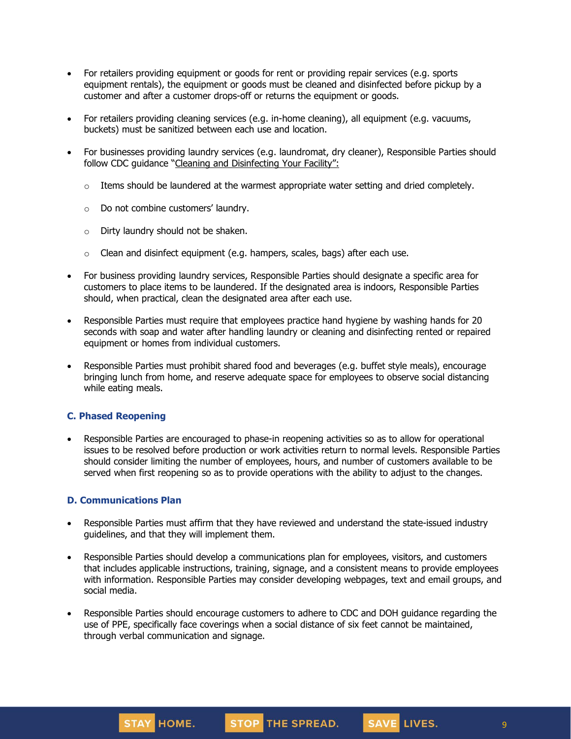- For retailers providing equipment or goods for rent or providing repair services (e.g. sports equipment rentals), the equipment or goods must be cleaned and disinfected before pickup by a customer and after a customer drops-off or returns the equipment or goods.
- For retailers providing cleaning services (e.g. in-home cleaning), all equipment (e.g. vacuums, buckets) must be sanitized between each use and location.
- For businesses providing laundry services (e.g. laundromat, dry cleaner), Responsible Parties should follow CDC guidance "Cleaning and [Disinfecting](https://www.cdc.gov/coronavirus/2019-ncov/community/disinfecting-building-facility.html) Your Facility":
	- $\circ$  Items should be laundered at the warmest appropriate water setting and dried completely.
	- o Do not combine customers' laundry.
	- o Dirty laundry should not be shaken.
	- $\circ$  Clean and disinfect equipment (e.g. hampers, scales, bags) after each use.
- For business providing laundry services, Responsible Parties should designate a specific area for customers to place items to be laundered. If the designated area is indoors, Responsible Parties should, when practical, clean the designated area after each use.
- Responsible Parties must require that employees practice hand hygiene by washing hands for 20 seconds with soap and water after handling laundry or cleaning and disinfecting rented or repaired equipment or homes from individual customers.
- Responsible Parties must prohibit shared food and beverages (e.g. buffet style meals), encourage bringing lunch from home, and reserve adequate space for employees to observe social distancing while eating meals.

#### **C. Phased Reopening**

• Responsible Parties are encouraged to phase-in reopening activities so as to allow for operational issues to be resolved before production or work activities return to normal levels. Responsible Parties should consider limiting the number of employees, hours, and number of customers available to be served when first reopening so as to provide operations with the ability to adjust to the changes.

#### **D. Communications Plan**

- Responsible Parties must affirm that they have reviewed and understand the state-issued industry guidelines, and that they will implement them.
- Responsible Parties should develop a communications plan for employees, visitors, and customers that includes applicable instructions, training, signage, and a consistent means to provide employees with information. Responsible Parties may consider developing webpages, text and email groups, and social media.
- Responsible Parties should encourage customers to adhere to CDC and DOH guidance regarding the use of PPE, specifically face coverings when a social distance of six feet cannot be maintained, through verbal communication and signage.

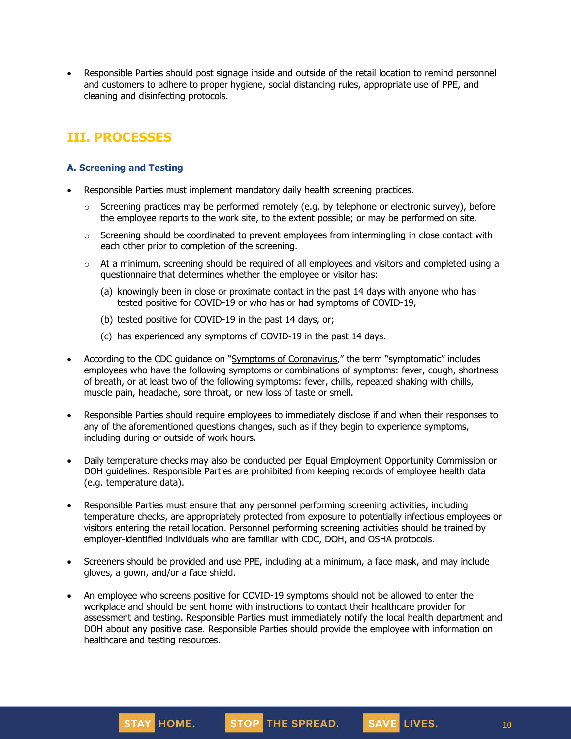• Responsible Parties should post signage inside and outside of the retail location to remind personnel and customers to adhere to proper hygiene, social distancing rules, appropriate use of PPE, and cleaning and disinfecting protocols.

# **III. PROCESSES**

### **A. Screening and Testing**

- Responsible Parties must implement mandatory daily health screening practices.
	- $\circ$  Screening practices may be performed remotely (e.g. by telephone or electronic survey), before the employee reports to the work site, to the extent possible; or may be performed on site.
	- $\circ$  Screening should be coordinated to prevent employees from intermingling in close contact with each other prior to completion of the screening.
	- $\circ$  At a minimum, screening should be required of all employees and visitors and completed using a questionnaire that determines whether the employee or visitor has:
		- (a) knowingly been in close or proximate contact in the past 14 days with anyone who has tested positive for COVID-19 or who has or had symptoms of COVID-19,
		- (b) tested positive for COVID-19 in the past 14 days, or;
		- (c) has experienced any symptoms of COVID-19 in the past 14 days.
- According to the CDC guidance on "Symptoms of [Coronavirus](https://www.cdc.gov/coronavirus/2019-ncov/symptoms-testing/symptoms.html)," the term "symptomatic" includes employees who have the following symptoms or combinations of symptoms: fever, cough, shortness of breath, or at least two of the following symptoms: fever, chills, repeated shaking with chills, muscle pain, headache, sore throat, or new loss of taste or smell.
- Responsible Parties should require employees to immediately disclose if and when their responses to any of the aforementioned questions changes, such as if they begin to experience symptoms, including during or outside of work hours.
- Daily temperature checks may also be conducted per Equal Employment Opportunity Commission or DOH guidelines. Responsible Parties are prohibited from keeping records of employee health data (e.g. temperature data).
- Responsible Parties must ensure that any personnel performing screening activities, including temperature checks, are appropriately protected from exposure to potentially infectious employees or visitors entering the retail location. Personnel performing screening activities should be trained by employer-identified individuals who are familiar with CDC, DOH, and OSHA protocols.
- Screeners should be provided and use PPE, including at a minimum, a face mask, and may include gloves, a gown, and/or a face shield.
- An employee who screens positive for COVID-19 symptoms should not be allowed to enter the workplace and should be sent home with instructions to contact their healthcare provider for assessment and testing. Responsible Parties must immediately notify the local health department and DOH about any positive case. Responsible Parties should provide the employee with information on healthcare and testing resources.

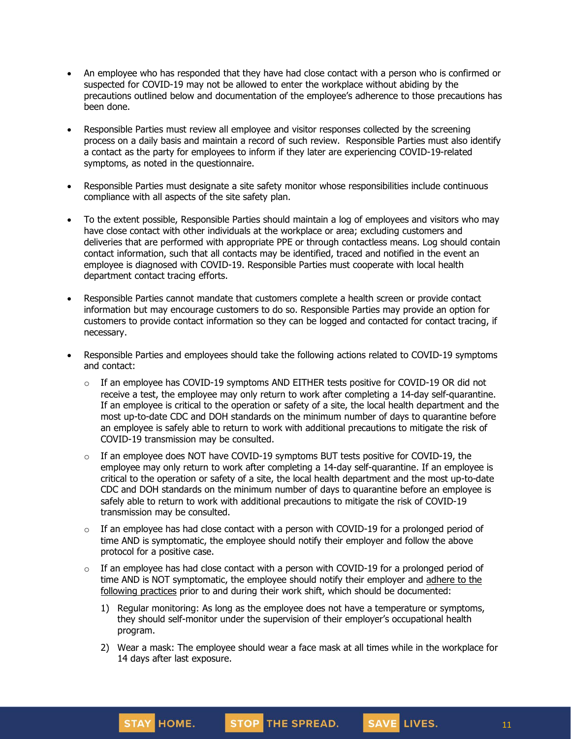- An employee who has responded that they have had close contact with a person who is confirmed or suspected for COVID-19 may not be allowed to enter the workplace without abiding by the precautions outlined below and documentation of the employee's adherence to those precautions has been done.
- Responsible Parties must review all employee and visitor responses collected by the screening process on a daily basis and maintain a record of such review. Responsible Parties must also identify a contact as the party for employees to inform if they later are experiencing COVID-19-related symptoms, as noted in the questionnaire.
- Responsible Parties must designate a site safety monitor whose responsibilities include continuous compliance with all aspects of the site safety plan.
- To the extent possible, Responsible Parties should maintain a log of employees and visitors who may have close contact with other individuals at the workplace or area; excluding customers and deliveries that are performed with appropriate PPE or through contactless means. Log should contain contact information, such that all contacts may be identified, traced and notified in the event an employee is diagnosed with COVID-19. Responsible Parties must cooperate with local health department contact tracing efforts.
- Responsible Parties cannot mandate that customers complete a health screen or provide contact information but may encourage customers to do so. Responsible Parties may provide an option for customers to provide contact information so they can be logged and contacted for contact tracing, if necessary.
- Responsible Parties and employees should take the following actions related to COVID-19 symptoms and contact:
	- $\circ$  If an employee has COVID-19 symptoms AND EITHER tests positive for COVID-19 OR did not receive a test, the employee may only [return](https://www.cdc.gov/coronavirus/2019-ncov/hcp/return-to-work.html) to work after completing a 14-day self-quarantine. If an employee is critical to the operation or safety of a site, the local health department and the most up-to-date CDC and DOH standards on the minimum number of days to quarantine before an employee is safely able to return to work with additional precautions to mitigate the risk of COVID-19 transmission may be consulted.
	- $\circ$  If an employee does NOT have COVID-19 symptoms BUT tests positive for COVID-19, the employee may only return to work after completing a 14-day self-quarantine. If an employee is critical to the operation or safety of a site, the local health department and the most up-to-date CDC and DOH standards on the minimum number of days to quarantine before an employee is safely able to return to work with additional precautions to mitigate the risk of COVID-19 transmission may be consulted.
	- $\circ$  If an employee has had close contact with a person with COVID-19 for a prolonged period of time AND is symptomatic, the employee should notify their employer and follow the above protocol for a positive case.
	- $\circ$  If an employee has had close contact with a person with COVID-19 for a prolonged period of time AND is NOT symptomatic, the employee should notify their employer and [adhere](https://www.cdc.gov/coronavirus/2019-ncov/community/critical-workers/implementing-safety-practices.html) to the [following](https://www.cdc.gov/coronavirus/2019-ncov/community/critical-workers/implementing-safety-practices.html) practices prior to and during their work shift, which should be documented:
		- 1) Regular monitoring: As long as the employee does not have a temperature or symptoms, they should self-monitor under the supervision of their employer's occupational health program.
		- 2) Wear a mask: The employee should wear a face mask at all times while in the workplace for 14 days after last exposure.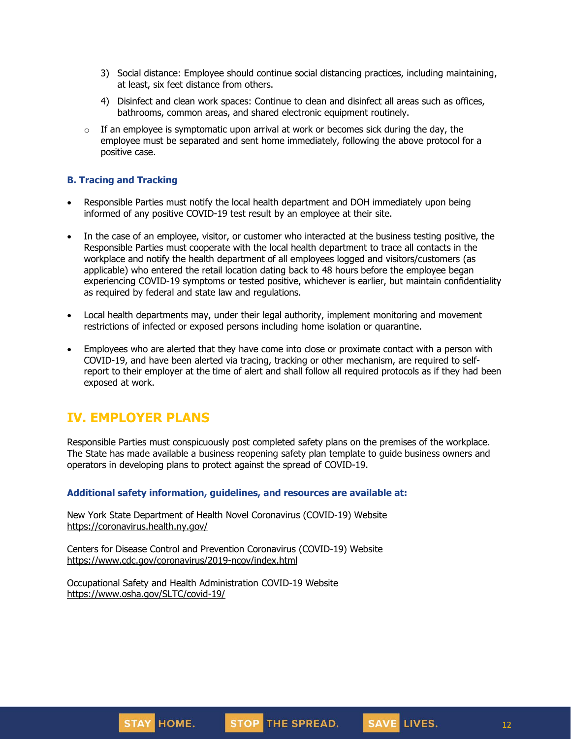- 3) Social distance: Employee should continue social distancing practices, including maintaining, at least, six feet distance from others.
- 4) Disinfect and clean work spaces: Continue to clean and disinfect all areas such as offices, bathrooms, common areas, and shared electronic equipment routinely.
- $\circ$  If an employee is symptomatic upon arrival at work or becomes sick during the day, the employee must be separated and sent home immediately, following the above protocol for a positive case.

#### **B. Tracing and Tracking**

- Responsible Parties must notify the local health department and DOH immediately upon being informed of any positive COVID-19 test result by an employee at their site.
- In the case of an employee, visitor, or customer who interacted at the business testing positive, the Responsible Parties must cooperate with the local health department to trace all contacts in the workplace and notify the health department of all employees logged and visitors/customers (as applicable) who entered the retail location dating back to 48 hours before the employee began experiencing COVID-19 symptoms or tested positive, whichever is earlier, but maintain confidentiality as required by federal and state law and regulations.
- Local health departments may, under their legal authority, implement monitoring and movement restrictions of infected or exposed persons including home isolation or quarantine.
- Employees who are alerted that they have come into close or proximate contact with a person with COVID-19, and have been alerted via tracing, tracking or other mechanism, are required to selfreport to their employer at the time of alert and shall follow all required protocols as if they had been exposed at work.

## **IV. EMPLOYER PLANS**

Responsible Parties must conspicuously post completed safety plans on the premises of the workplace. The State has made available a business reopening safety plan template to guide business owners and operators in developing plans to protect against the spread of COVID-19.

#### **Additional safety information, guidelines, and resources are available at:**

New York State Department of Health Novel Coronavirus (COVID-19) Website <https://coronavirus.health.ny.gov/>

Centers for Disease Control and Prevention Coronavirus (COVID-19) Website <https://www.cdc.gov/coronavirus/2019-ncov/index.html>

Occupational Safety and Health Administration COVID-19 Website <https://www.osha.gov/SLTC/covid-19/>